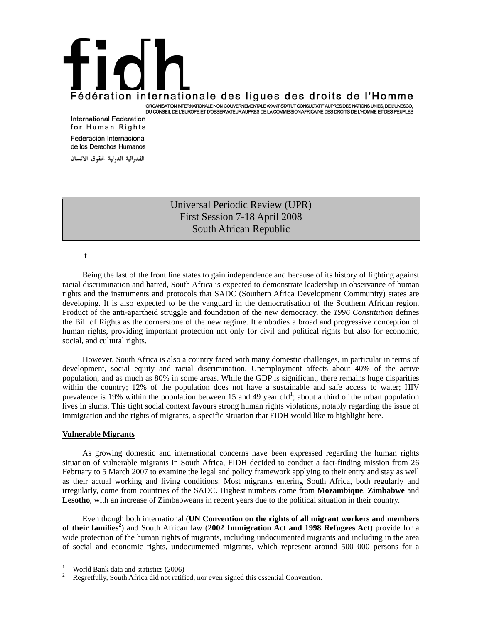## Fédération internationale des ligues des droits de l'Homme ORGANISATION INTERNATIONALE NON GOUVERNEMENTALE AYANT STATUT CONSULTATIF AUPRES DES NATIONS UNIES, DE L'UNESCO,<br>DU CONSEIL DE L'EUROPE ET D'OBSERVATEUR AUPRES DE LA COMMISSION AFRICAINE DES DROITS DE L'HOMME ET DES PEUPLES

**International Federation** for Human Rights Federación Internacional de los Derechos Humanos

الفدرالية الدولية لحقوق الانسان

## Universal Periodic Review (UPR) First Session 7-18 April 2008 South African Republic

t

 Being the last of the front line states to gain independence and because of its history of fighting against racial discrimination and hatred, South Africa is expected to demonstrate leadership in observance of human rights and the instruments and protocols that SADC (Southern Africa Development Community) states are developing. It is also expected to be the vanguard in the democratisation of the Southern African region. Product of the anti-apartheid struggle and foundation of the new democracy, the *1996 Constitution* defines the Bill of Rights as the cornerstone of the new regime. It embodies a broad and progressive conception of human rights, providing important protection not only for civil and political rights but also for economic, social, and cultural rights.

 However, South Africa is also a country faced with many domestic challenges, in particular in terms of development, social equity and racial discrimination. Unemployment affects about 40% of the active population, and as much as 80% in some areas. While the GDP is significant, there remains huge disparities within the country; 12% of the population does not have a sustainable and safe access to water; HIV prevalence is 19% within the population between 15 and 49 year old<sup>1</sup>; about a third of the urban population lives in slums. This tight social context favours strong human rights violations, notably regarding the issue of immigration and the rights of migrants, a specific situation that FIDH would like to highlight here.

## **Vulnerable Migrants**

 As growing domestic and international concerns have been expressed regarding the human rights situation of vulnerable migrants in South Africa, FIDH decided to conduct a fact-finding mission from 26 February to 5 March 2007 to examine the legal and policy framework applying to their entry and stay as well as their actual working and living conditions. Most migrants entering South Africa, both regularly and irregularly, come from countries of the SADC. Highest numbers come from **Mozambique**, **Zimbabwe** and **Lesotho**, with an increase of Zimbabweans in recent years due to the political situation in their country.

 Even though both international (**UN Convention on the rights of all migrant workers and members of their families<sup>2</sup>** ) and South African law (**2002 Immigration Act and 1998 Refugees Act**) provide for a wide protection of the human rights of migrants, including undocumented migrants and including in the area of social and economic rights, undocumented migrants, which represent around 500 000 persons for a

 $\frac{1}{1}$ World Bank data and statistics (2006)

<sup>2</sup> Regretfully, South Africa did not ratified, nor even signed this essential Convention.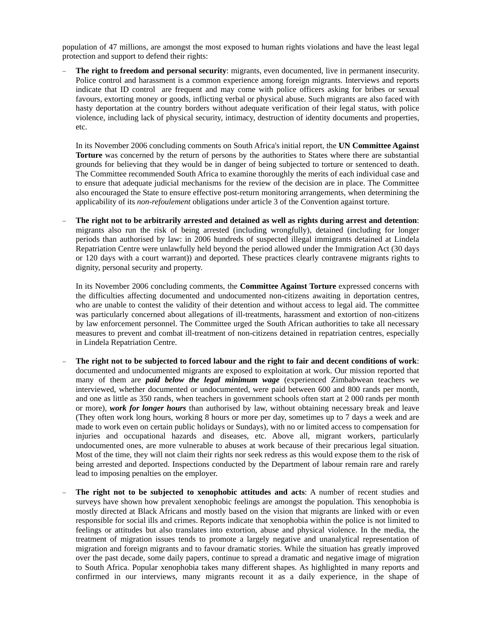population of 47 millions, are amongst the most exposed to human rights violations and have the least legal protection and support to defend their rights:

**The right to freedom and personal security**: migrants, even documented, live in permanent insecurity. Police control and harassment is a common experience among foreign migrants. Interviews and reports indicate that ID control are frequent and may come with police officers asking for bribes or sexual favours, extorting money or goods, inflicting verbal or physical abuse. Such migrants are also faced with hasty deportation at the country borders without adequate verification of their legal status, with police violence, including lack of physical security, intimacy, destruction of identity documents and properties, etc.

In its November 2006 concluding comments on South Africa's initial report, the **UN Committee Against Torture** was concerned by the return of persons by the authorities to States where there are substantial grounds for believing that they would be in danger of being subjected to torture or sentenced to death. The Committee recommended South Africa to examine thoroughly the merits of each individual case and to ensure that adequate judicial mechanisms for the review of the decision are in place. The Committee also encouraged the State to ensure effective post-return monitoring arrangements, when determining the applicability of its *non-refoulement* obligations under article 3 of the Convention against torture.

− **The right not to be arbitrarily arrested and detained as well as rights during arrest and detention**: migrants also run the risk of being arrested (including wrongfully), detained (including for longer periods than authorised by law: in 2006 hundreds of suspected illegal immigrants detained at Lindela Repatriation Centre were unlawfully held beyond the period allowed under the Immigration Act (30 days or 120 days with a court warrant)) and deported. These practices clearly contravene migrants rights to dignity, personal security and property.

In its November 2006 concluding comments, the **Committee Against Torture** expressed concerns with the difficulties affecting documented and undocumented non-citizens awaiting in deportation centres, who are unable to contest the validity of their detention and without access to legal aid. The committee was particularly concerned about allegations of ill-treatments, harassment and extortion of non-citizens by law enforcement personnel. The Committee urged the South African authorities to take all necessary measures to prevent and combat ill-treatment of non-citizens detained in repatriation centres, especially in Lindela Repatriation Centre.

- − **The right not to be subjected to forced labour and the right to fair and decent conditions of work**: documented and undocumented migrants are exposed to exploitation at work. Our mission reported that many of them are *paid below the legal minimum wage* (experienced Zimbabwean teachers we interviewed, whether documented or undocumented, were paid between 600 and 800 rands per month, and one as little as 350 rands, when teachers in government schools often start at 2 000 rands per month or more), *work for longer hours* than authorised by law, without obtaining necessary break and leave (They often work long hours, working 8 hours or more per day, sometimes up to 7 days a week and are made to work even on certain public holidays or Sundays), with no or limited access to compensation for injuries and occupational hazards and diseases, etc. Above all, migrant workers, particularly undocumented ones, are more vulnerable to abuses at work because of their precarious legal situation. Most of the time, they will not claim their rights nor seek redress as this would expose them to the risk of being arrested and deported. Inspections conducted by the Department of labour remain rare and rarely lead to imposing penalties on the employer.
- The right not to be subjected to xenophobic attitudes and acts: A number of recent studies and surveys have shown how prevalent xenophobic feelings are amongst the population. This xenophobia is mostly directed at Black Africans and mostly based on the vision that migrants are linked with or even responsible for social ills and crimes. Reports indicate that xenophobia within the police is not limited to feelings or attitudes but also translates into extortion, abuse and physical violence. In the media, the treatment of migration issues tends to promote a largely negative and unanalytical representation of migration and foreign migrants and to favour dramatic stories. While the situation has greatly improved over the past decade, some daily papers, continue to spread a dramatic and negative image of migration to South Africa. Popular xenophobia takes many different shapes. As highlighted in many reports and confirmed in our interviews, many migrants recount it as a daily experience, in the shape of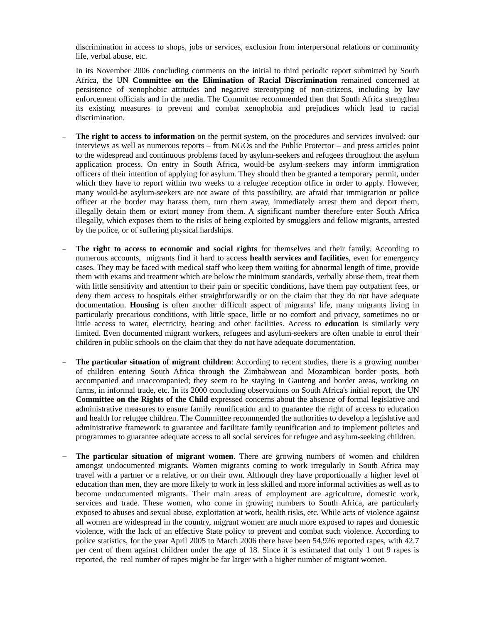discrimination in access to shops, jobs or services, exclusion from interpersonal relations or community life, verbal abuse, etc.

In its November 2006 concluding comments on the initial to third periodic report submitted by South Africa, the UN **Committee on the Elimination of Racial Discrimination** remained concerned at persistence of xenophobic attitudes and negative stereotyping of non-citizens, including by law enforcement officials and in the media. The Committee recommended then that South Africa strengthen its existing measures to prevent and combat xenophobia and prejudices which lead to racial discrimination.

- The right to access to information on the permit system, on the procedures and services involved: our interviews as well as numerous reports – from NGOs and the Public Protector – and press articles point to the widespread and continuous problems faced by asylum-seekers and refugees throughout the asylum application process. On entry in South Africa, would-be asylum-seekers may inform immigration officers of their intention of applying for asylum. They should then be granted a temporary permit, under which they have to report within two weeks to a refugee reception office in order to apply. However, many would-be asylum-seekers are not aware of this possibility, are afraid that immigration or police officer at the border may harass them, turn them away, immediately arrest them and deport them, illegally detain them or extort money from them. A significant number therefore enter South Africa illegally, which exposes them to the risks of being exploited by smugglers and fellow migrants, arrested by the police, or of suffering physical hardships.
- The right to access to economic and social rights for themselves and their family. According to numerous accounts, migrants find it hard to access **health services and facilities**, even for emergency cases. They may be faced with medical staff who keep them waiting for abnormal length of time, provide them with exams and treatment which are below the minimum standards, verbally abuse them, treat them with little sensitivity and attention to their pain or specific conditions, have them pay outpatient fees, or deny them access to hospitals either straightforwardly or on the claim that they do not have adequate documentation. **Housing** is often another difficult aspect of migrants' life, many migrants living in particularly precarious conditions, with little space, little or no comfort and privacy, sometimes no or little access to water, electricity, heating and other facilities. Access to **education** is similarly very limited. Even documented migrant workers, refugees and asylum-seekers are often unable to enrol their children in public schools on the claim that they do not have adequate documentation.
- − **The particular situation of migrant children**: According to recent studies, there is a growing number of children entering South Africa through the Zimbabwean and Mozambican border posts, both accompanied and unaccompanied; they seem to be staying in Gauteng and border areas, working on farms, in informal trade, etc. In its 2000 concluding observations on South Africa's initial report, the UN **Committee on the Rights of the Child** expressed concerns about the absence of formal legislative and administrative measures to ensure family reunification and to guarantee the right of access to education and health for refugee children. The Committee recommended the authorities to develop a legislative and administrative framework to guarantee and facilitate family reunification and to implement policies and programmes to guarantee adequate access to all social services for refugee and asylum-seeking children.
- The particular situation of migrant women. There are growing numbers of women and children amongst undocumented migrants. Women migrants coming to work irregularly in South Africa may travel with a partner or a relative, or on their own. Although they have proportionally a higher level of education than men, they are more likely to work in less skilled and more informal activities as well as to become undocumented migrants. Their main areas of employment are agriculture, domestic work, services and trade. These women, who come in growing numbers to South Africa, are particularly exposed to abuses and sexual abuse, exploitation at work, health risks, etc. While acts of violence against all women are widespread in the country, migrant women are much more exposed to rapes and domestic violence, with the lack of an effective State policy to prevent and combat such violence. According to police statistics, for the year April 2005 to March 2006 there have been 54,926 reported rapes, with 42.7 per cent of them against children under the age of 18. Since it is estimated that only 1 out 9 rapes is reported, the real number of rapes might be far larger with a higher number of migrant women.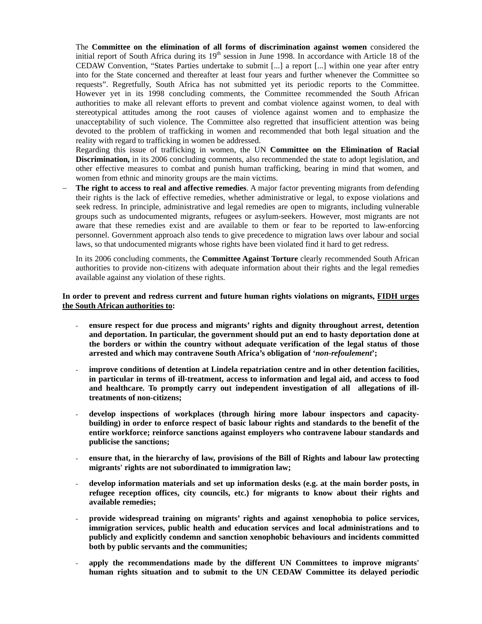The **Committee on the elimination of all forms of discrimination against women** considered the initial report of South Africa during its  $19<sup>th</sup>$  session in June 1998. In accordance with Article 18 of the CEDAW Convention, "States Parties undertake to submit [...] a report [...] within one year after entry into for the State concerned and thereafter at least four years and further whenever the Committee so requests". Regretfully, South Africa has not submitted yet its periodic reports to the Committee. However yet in its 1998 concluding comments, the Committee recommended the South African authorities to make all relevant efforts to prevent and combat violence against women, to deal with stereotypical attitudes among the root causes of violence against women and to emphasize the unacceptability of such violence. The Committee also regretted that insufficient attention was being devoted to the problem of trafficking in women and recommended that both legal situation and the reality with regard to trafficking in women be addressed.

Regarding this issue of trafficking in women, the UN **Committee on the Elimination of Racial Discrimination,** in its 2006 concluding comments, also recommended the state to adopt legislation, and other effective measures to combat and punish human trafficking, bearing in mind that women, and women from ethnic and minority groups are the main victims.

− **The right to access to real and affective remedies**. A major factor preventing migrants from defending their rights is the lack of effective remedies, whether administrative or legal, to expose violations and seek redress. In principle, administrative and legal remedies are open to migrants, including vulnerable groups such as undocumented migrants, refugees or asylum-seekers. However, most migrants are not aware that these remedies exist and are available to them or fear to be reported to law-enforcing personnel. Government approach also tends to give precedence to migration laws over labour and social laws, so that undocumented migrants whose rights have been violated find it hard to get redress.

In its 2006 concluding comments, the **Committee Against Torture** clearly recommended South African authorities to provide non-citizens with adequate information about their rights and the legal remedies available against any violation of these rights.

## **In order to prevent and redress current and future human rights violations on migrants, FIDH urges the South African authorities to:**

- **ensure respect for due process and migrants' rights and dignity throughout arrest, detention and deportation. In particular, the government should put an end to hasty deportation done at the borders or within the country without adequate verification of the legal status of those arrested and which may contravene South Africa's obligation of '***non-refoulement***';**
- improve conditions of detention at Lindela repatriation centre and in other detention facilities, **in particular in terms of ill-treatment, access to information and legal aid, and access to food and healthcare. To promptly carry out independent investigation of all allegations of illtreatments of non-citizens;**
- **develop inspections of workplaces (through hiring more labour inspectors and capacitybuilding) in order to enforce respect of basic labour rights and standards to the benefit of the entire workforce; reinforce sanctions against employers who contravene labour standards and publicise the sanctions;**
- ensure that, in the hierarchy of law, provisions of the Bill of Rights and labour law protecting **migrants' rights are not subordinated to immigration law;**
- **develop information materials and set up information desks (e.g. at the main border posts, in refugee reception offices, city councils, etc.) for migrants to know about their rights and available remedies;**
- **provide widespread training on migrants' rights and against xenophobia to police services, immigration services, public health and education services and local administrations and to publicly and explicitly condemn and sanction xenophobic behaviours and incidents committed both by public servants and the communities;**
- apply the recommendations made by the different UN Committees to improve migrants' **human rights situation and to submit to the UN CEDAW Committee its delayed periodic**